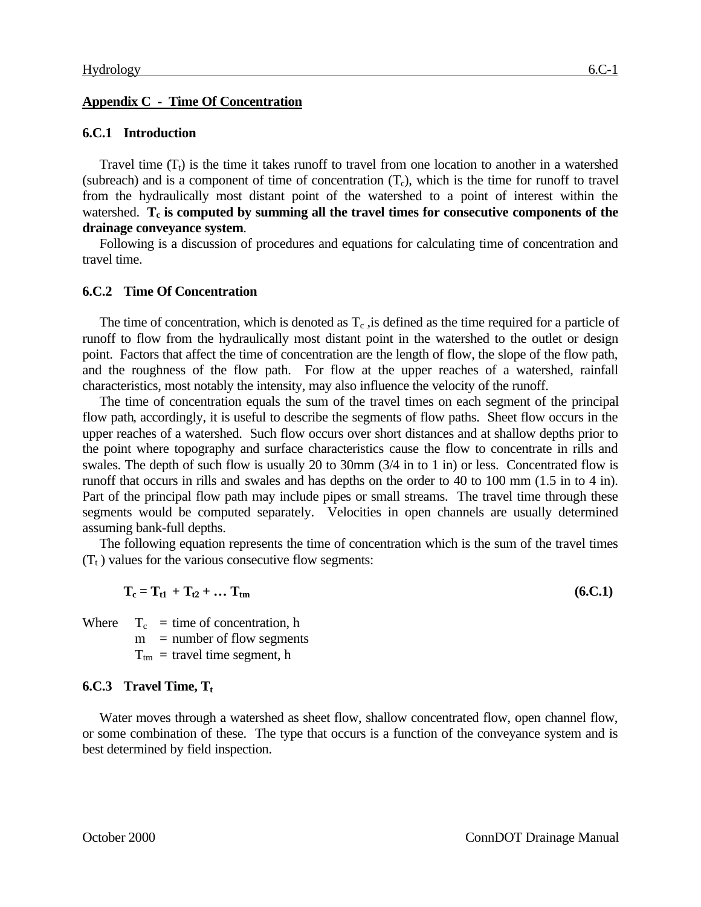#### **Appendix C - Time Of Concentration**

#### **6.C.1 Introduction**

Travel time  $(T<sub>t</sub>)$  is the time it takes runoff to travel from one location to another in a watershed (subreach) and is a component of time of concentration  $(T_c)$ , which is the time for runoff to travel from the hydraulically most distant point of the watershed to a point of interest within the watershed. T<sub>c</sub> is computed by summing all the travel times for consecutive components of the **drainage conveyance system**.

Following is a discussion of procedures and equations for calculating time of concentration and travel time.

#### **6.C.2 Time Of Concentration**

The time of concentration, which is denoted as  $T_c$ , is defined as the time required for a particle of runoff to flow from the hydraulically most distant point in the watershed to the outlet or design point. Factors that affect the time of concentration are the length of flow, the slope of the flow path, and the roughness of the flow path. For flow at the upper reaches of a watershed, rainfall characteristics, most notably the intensity, may also influence the velocity of the runoff.

The time of concentration equals the sum of the travel times on each segment of the principal flow path, accordingly, it is useful to describe the segments of flow paths. Sheet flow occurs in the upper reaches of a watershed. Such flow occurs over short distances and at shallow depths prior to the point where topography and surface characteristics cause the flow to concentrate in rills and swales. The depth of such flow is usually 20 to 30mm (3/4 in to 1 in) or less. Concentrated flow is runoff that occurs in rills and swales and has depths on the order to 40 to 100 mm (1.5 in to 4 in). Part of the principal flow path may include pipes or small streams. The travel time through these segments would be computed separately. Velocities in open channels are usually determined assuming bank-full depths.

The following equation represents the time of concentration which is the sum of the travel times  $(T_t)$  values for the various consecutive flow segments:

$$
T_c = T_{t1} + T_{t2} + \dots T_{tm}
$$
 (6.C.1)

Where  $T_c$  = time of concentration, h

 $m =$  number of flow segments

 $T_{tm}$  = travel time segment, h

#### **6.C.3 Travel Time, T<sup>t</sup>**

Water moves through a watershed as sheet flow, shallow concentrated flow, open channel flow, or some combination of these. The type that occurs is a function of the conveyance system and is best determined by field inspection.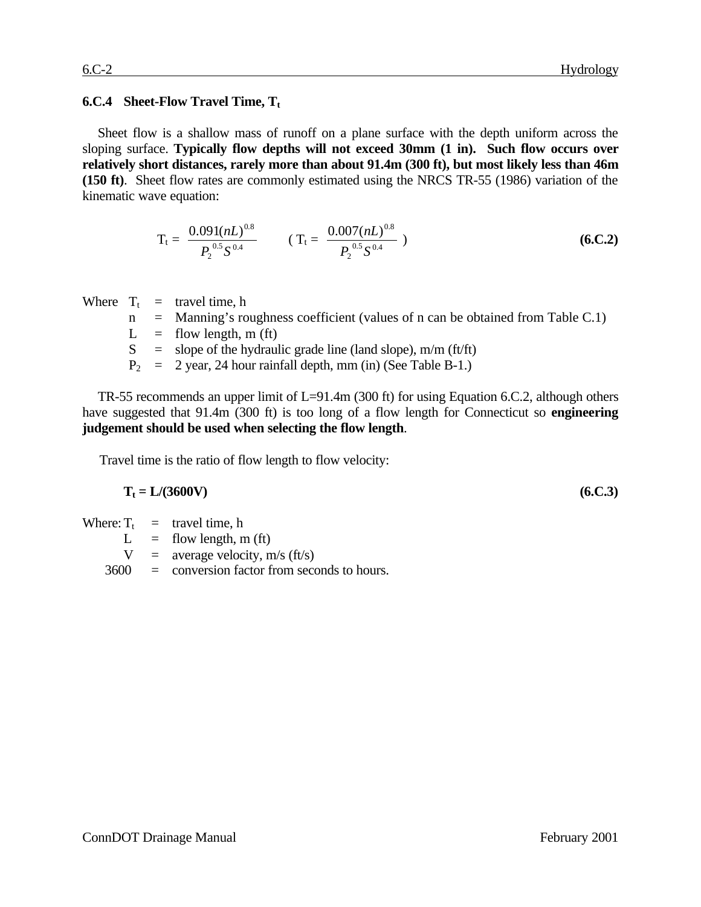#### **6.C.4 Sheet-Flow Travel Time, T<sup>t</sup>**

Sheet flow is a shallow mass of runoff on a plane surface with the depth uniform across the sloping surface. **Typically flow depths will not exceed 30mm (1 in). Such flow occurs over relatively short distances, rarely more than about 91.4m (300 ft), but most likely less than 46m (150 ft)**. Sheet flow rates are commonly estimated using the NRCS TR-55 (1986) variation of the kinematic wave equation:

$$
T_{t} = \frac{0.091(nL)^{0.8}}{P_{2}^{0.5}S^{0.4}} \qquad (T_{t} = \frac{0.007(nL)^{0.8}}{P_{2}^{0.5}S^{0.4}})
$$
 (6.C.2)

Where 
$$
T_t
$$
 = travel time, h

- $n =$  Manning's roughness coefficient (values of n can be obtained from Table C.1)
- $L =$  flow length, m (ft)
- $S =$  slope of the hydraulic grade line (land slope), m/m (ft/ft)
- $P_2$  = 2 year, 24 hour rainfall depth, mm (in) (See Table B-1.)

TR-55 recommends an upper limit of L=91.4m (300 ft) for using Equation 6.C.2, although others have suggested that 91.4m (300 ft) is too long of a flow length for Connecticut so **engineering judgement should be used when selecting the flow length**.

Travel time is the ratio of flow length to flow velocity:

$$
T_t = L/(3600V) \tag{6.C.3}
$$

Where:  $T_t$  = travel time, h

 $L =$  flow length, m (ft)

 $V =$  average velocity, m/s (ft/s)

3600 = conversion factor from seconds to hours.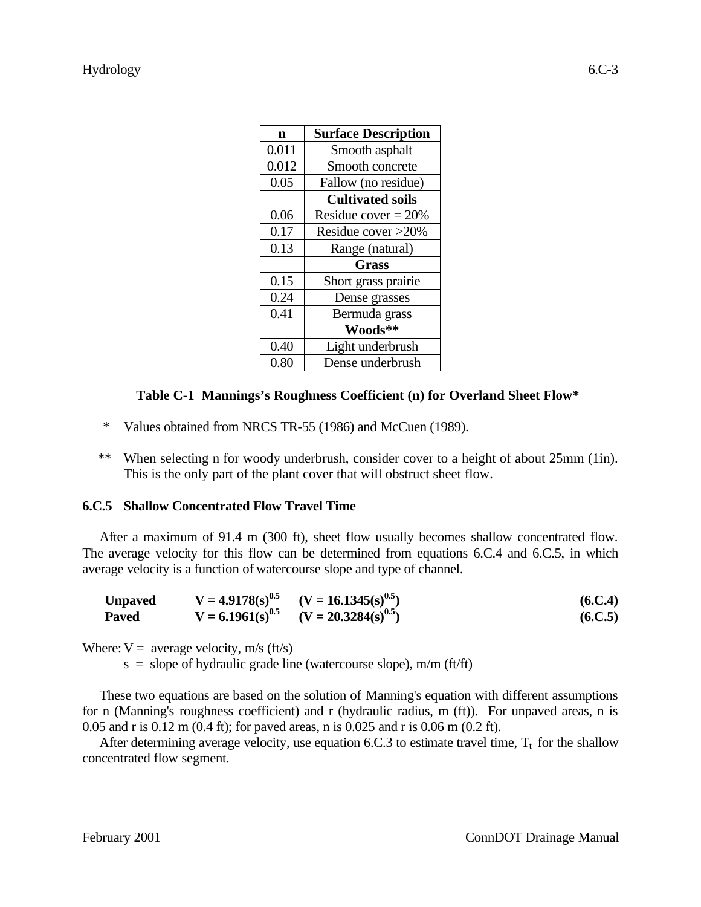| n     | <b>Surface Description</b> |
|-------|----------------------------|
| 0.011 | Smooth asphalt             |
| 0.012 | Smooth concrete            |
| 0.05  | Fallow (no residue)        |
|       | <b>Cultivated soils</b>    |
| 0.06  | Residue cover = $20\%$     |
| 0.17  | Residue cover >20%         |
| 0.13  | Range (natural)            |
|       | <b>Grass</b>               |
| 0.15  | Short grass prairie        |
| 0.24  | Dense grasses              |
| 0.41  | Bermuda grass              |
|       | Woods**                    |
| 0.40  | Light underbrush           |
| 0.80  | Dense underbrush           |

#### **Table C-1 Mannings's Roughness Coefficient (n) for Overland Sheet Flow\***

- \* Values obtained from NRCS TR-55 (1986) and McCuen (1989).
- \*\* When selecting n for woody underbrush, consider cover to a height of about 25mm (1in). This is the only part of the plant cover that will obstruct sheet flow.

### **6.C.5 Shallow Concentrated Flow Travel Time**

After a maximum of 91.4 m (300 ft), sheet flow usually becomes shallow concentrated flow. The average velocity for this flow can be determined from equations 6.C.4 and 6.C.5, in which average velocity is a function of watercourse slope and type of channel.

| <b>Unpaved</b> | $V = 4.9178(s)^{0.5}$ | $(V = 16.1345(s)^{0.5})$                       | (6.C.4) |
|----------------|-----------------------|------------------------------------------------|---------|
| <b>Paved</b>   |                       | $V = 6.1961(s)^{0.5}$ $(V = 20.3284(s)^{0.5})$ | (6.C.5) |

Where:  $V =$  average velocity, m/s (ft/s)

 $s = slope of hyd$ raulic grade line (watercourse slope), m/m (ft/ft)

These two equations are based on the solution of Manning's equation with different assumptions for n (Manning's roughness coefficient) and r (hydraulic radius, m (ft)). For unpaved areas, n is 0.05 and r is 0.12 m (0.4 ft); for paved areas, n is 0.025 and r is 0.06 m (0.2 ft).

After determining average velocity, use equation 6.C.3 to estimate travel time,  $T_t$  for the shallow concentrated flow segment.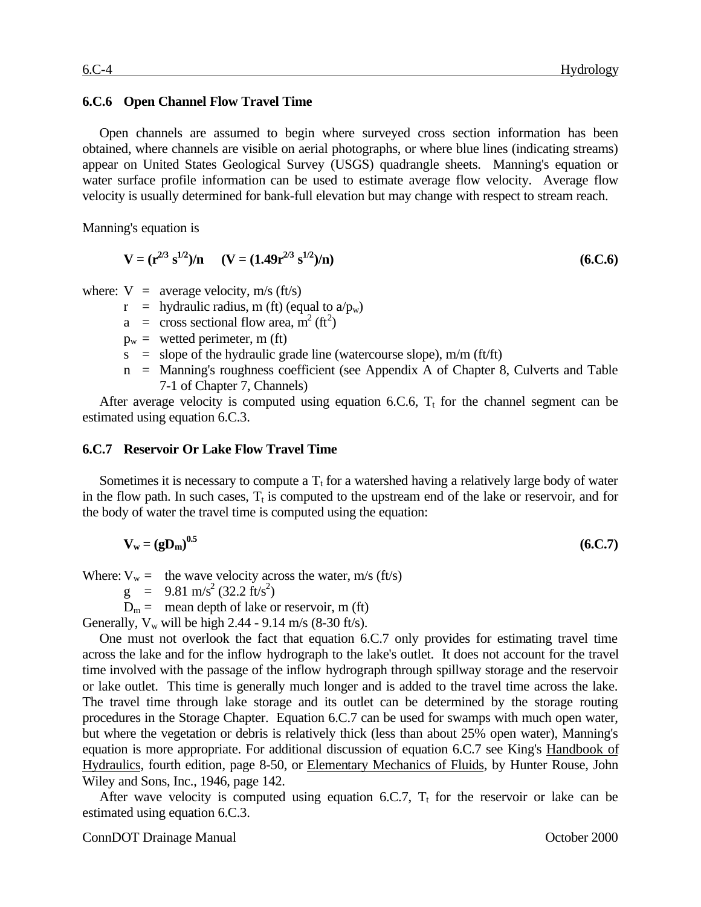#### **6.C.6 Open Channel Flow Travel Time**

Open channels are assumed to begin where surveyed cross section information has been obtained, where channels are visible on aerial photographs, or where blue lines (indicating streams) appear on United States Geological Survey (USGS) quadrangle sheets. Manning's equation or water surface profile information can be used to estimate average flow velocity. Average flow velocity is usually determined for bank-full elevation but may change with respect to stream reach.

Manning's equation is

$$
V = (r^{2/3} s^{1/2})/n \t (V = (1.49r^{2/3} s^{1/2})/n)
$$
\t(6.C.6)

where:  $V =$  average velocity, m/s (ft/s)

- $r =$  hydraulic radius, m (ft) (equal to  $a/p_w$ )
- $a = \csc$  sectional flow area, m<sup>2</sup> (ft<sup>2</sup>)
- $p_w =$  wetted perimeter, m (ft)
- $s = slope of the hydraulic grade line (water course slope), m/m (ft/ft)$
- n = Manning's roughness coefficient (see Appendix A of Chapter 8, Culverts and Table 7-1 of Chapter 7, Channels)

After average velocity is computed using equation 6.C.6,  $T<sub>t</sub>$  for the channel segment can be estimated using equation 6.C.3.

#### **6.C.7 Reservoir Or Lake Flow Travel Time**

Sometimes it is necessary to compute a  $T_t$  for a watershed having a relatively large body of water in the flow path. In such cases,  $T_t$  is computed to the upstream end of the lake or reservoir, and for the body of water the travel time is computed using the equation:

$$
V_{w} = (gD_{m})^{0.5}
$$
 (6.C.7)

Where:  $V_w =$  the wave velocity across the water, m/s (ft/s)

 $g = 9.81 \text{ m/s}^2 (32.2 \text{ ft/s}^2)$ 

 $D_m$  = mean depth of lake or reservoir, m (ft)

Generally,  $V_w$  will be high 2.44 - 9.14 m/s (8-30 ft/s).

One must not overlook the fact that equation 6.C.7 only provides for estimating travel time across the lake and for the inflow hydrograph to the lake's outlet. It does not account for the travel time involved with the passage of the inflow hydrograph through spillway storage and the reservoir or lake outlet. This time is generally much longer and is added to the travel time across the lake. The travel time through lake storage and its outlet can be determined by the storage routing procedures in the Storage Chapter. Equation 6.C.7 can be used for swamps with much open water, but where the vegetation or debris is relatively thick (less than about 25% open water), Manning's equation is more appropriate. For additional discussion of equation 6.C.7 see King's Handbook of Hydraulics, fourth edition, page 8-50, or Elementary Mechanics of Fluids, by Hunter Rouse, John Wiley and Sons, Inc., 1946, page 142.

After wave velocity is computed using equation 6.C.7,  $T<sub>t</sub>$  for the reservoir or lake can be estimated using equation 6.C.3.

#### ConnDOT Drainage Manual **Connucler** Connucler Connucler Connucler Connucler Connucler Connucler Connucler Connucler Connucler Connucler Connucler Connucler Connucler Connucler Connucler Connucler Connucler Connucler Connuc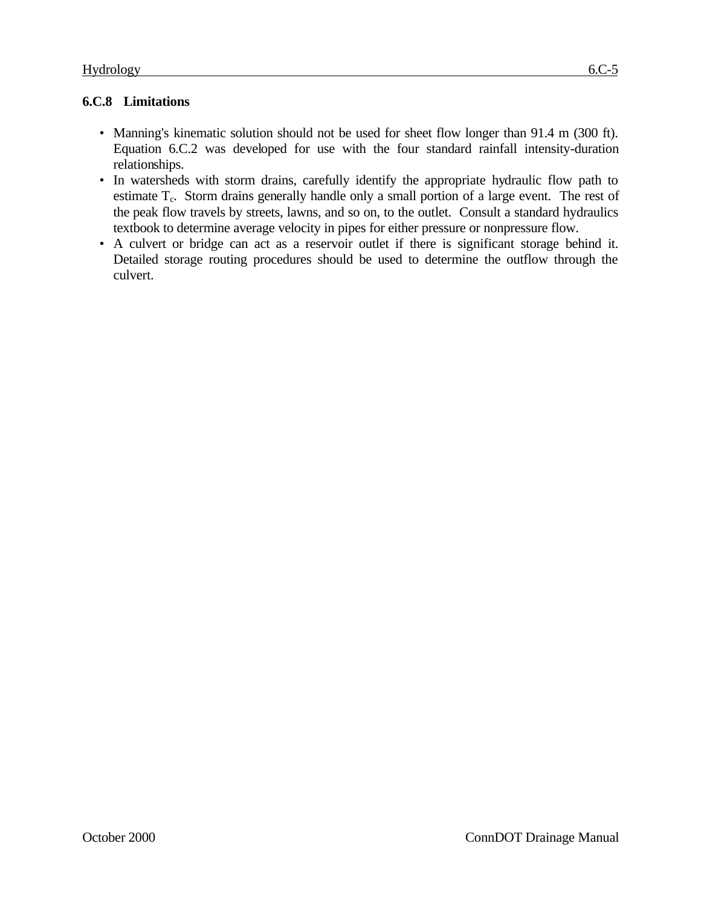# **6.C.8 Limitations**

- Manning's kinematic solution should not be used for sheet flow longer than 91.4 m (300 ft). Equation 6.C.2 was developed for use with the four standard rainfall intensity-duration relationships.
- In watersheds with storm drains, carefully identify the appropriate hydraulic flow path to estimate T<sub>c</sub>. Storm drains generally handle only a small portion of a large event. The rest of the peak flow travels by streets, lawns, and so on, to the outlet. Consult a standard hydraulics textbook to determine average velocity in pipes for either pressure or nonpressure flow.
- A culvert or bridge can act as a reservoir outlet if there is significant storage behind it. Detailed storage routing procedures should be used to determine the outflow through the culvert.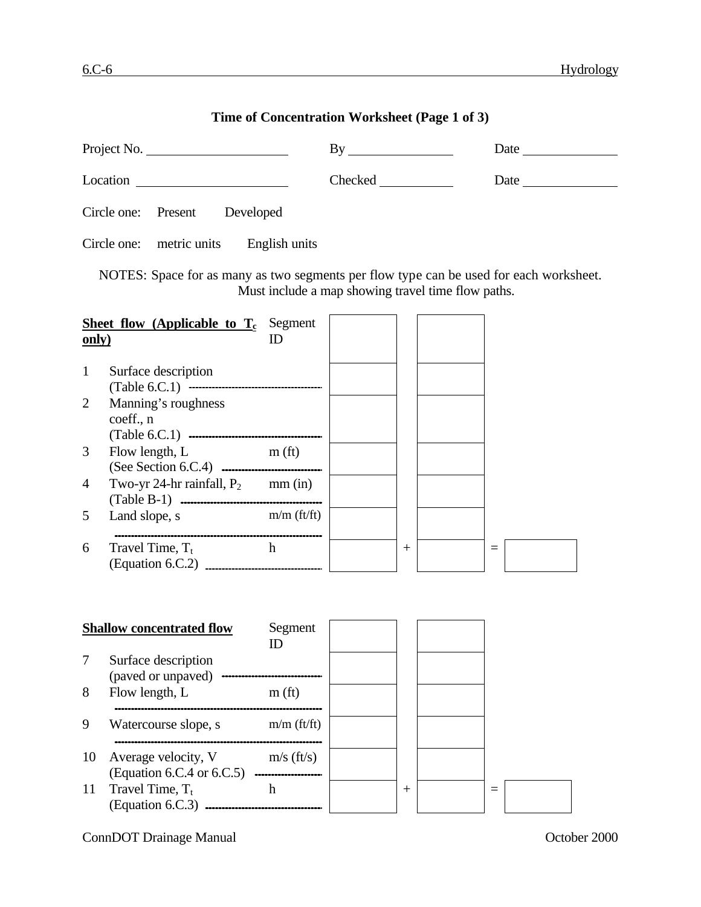# **Time of Concentration Worksheet (Page 1 of 3)**

|              | Project No.                                                                            |                    | By                                                 |        |          |  |
|--------------|----------------------------------------------------------------------------------------|--------------------|----------------------------------------------------|--------|----------|--|
|              |                                                                                        |                    | Checked <u>and</u>                                 |        | Date     |  |
|              | Circle one:<br>Present Developed                                                       |                    |                                                    |        |          |  |
|              | Circle one:<br>metric units                                                            | English units      |                                                    |        |          |  |
|              | NOTES: Space for as many as two segments per flow type can be used for each worksheet. |                    | Must include a map showing travel time flow paths. |        |          |  |
| <u>only)</u> | <b>Sheet flow (Applicable to <math>T_c</math></b> Segment                              | ID                 |                                                    |        |          |  |
| $\mathbf{1}$ | Surface description                                                                    |                    |                                                    |        |          |  |
| 2            | Manning's roughness<br>coeff., n                                                       |                    |                                                    |        |          |  |
| 3            | Flow length, L                                                                         | m(f <sub>t</sub> ) |                                                    |        |          |  |
| 4            | Two-yr 24-hr rainfall, $P_2$ mm (in)                                                   |                    |                                                    |        |          |  |
| 5            | Land slope, s                                                                          | $m/m$ (ft/ft)      |                                                    |        |          |  |
| 6            | Travel Time, $T_t$<br>(Equation 6.C.2) <b>________________________</b>                 | h                  |                                                    |        | $=$      |  |
|              |                                                                                        |                    |                                                    |        |          |  |
|              | <b>Shallow concentrated flow</b>                                                       | Segment<br>ID      |                                                    |        |          |  |
| 7            | Surface description<br>(paved or unpaved)                                              |                    |                                                    |        |          |  |
| 8            | Flow length, L                                                                         | m(f <sub>t</sub> ) |                                                    |        |          |  |
| 9            | Watercourse slope, s                                                                   | $m/m$ (ft/ft)      |                                                    |        |          |  |
| 10           | Average velocity, V<br>(Equation 6.C.4 or 6.C.5)                                       | $m/s$ (ft/s)       |                                                    |        |          |  |
| 11           | Travel Time, $T_t$<br>(Equation 6.C.3) <b></b>                                         | $\mathbf h$        |                                                    | $^{+}$ | $\equiv$ |  |

ConnDOT Drainage Manual Connection Connection Connection Connection Connection Connection Connection Connection Connection Connection Connection Connection Connection Connection Connection Connection Connection Connection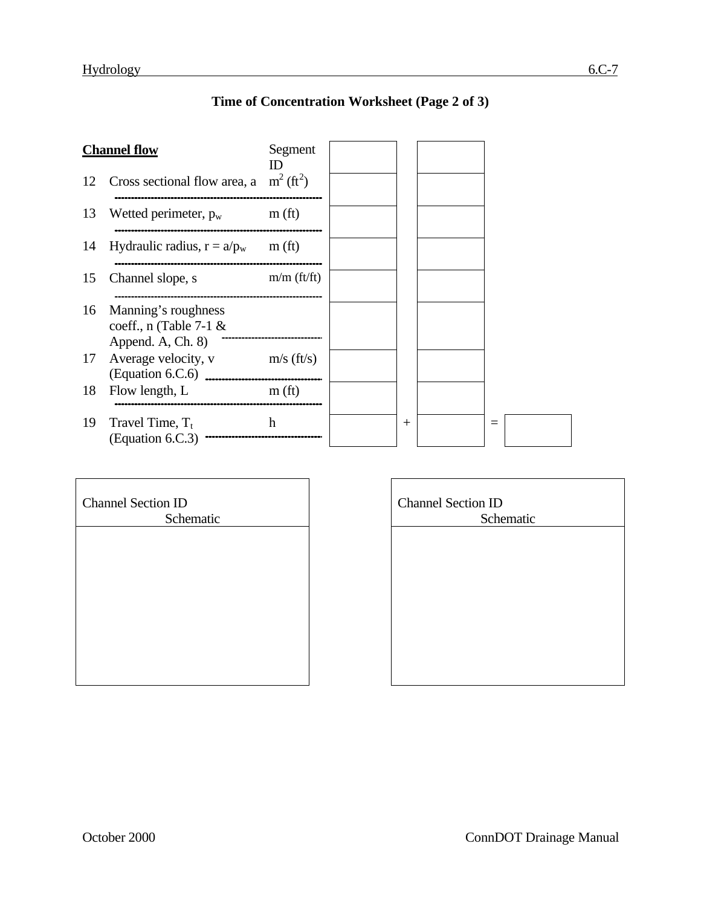# **Time of Concentration Worksheet (Page 2 of 3)**

|    | <b>Channel flow</b>                                                  | Segment            |        |  |  |
|----|----------------------------------------------------------------------|--------------------|--------|--|--|
| 12 | Cross sectional flow area, a $m^2$ (ft <sup>2</sup> )                |                    |        |  |  |
| 13 | Wetted perimeter, $p_w$                                              | m(f <sub>t</sub> ) |        |  |  |
| 14 | Hydraulic radius, $r = a/p_w$                                        | m(f <sub>t</sub> ) |        |  |  |
| 15 | Channel slope, s                                                     | $m/m$ (ft/ft)      |        |  |  |
| 16 | Manning's roughness<br>coeff., $n$ (Table 7-1 &<br>Append. A, Ch. 8) |                    |        |  |  |
| 17 | Average velocity, v<br>$\left(\text{Equation 6.C.6}\right)$          | $m/s$ (ft/s)       |        |  |  |
| 18 | Flow length, L                                                       | m(f <sub>t</sub> ) |        |  |  |
| 19 | Travel Time, $T_t$<br>(Equation 6.C.3)                               | h                  | $^{+}$ |  |  |

ä,

| <b>Channel Section ID</b> |
|---------------------------|
| Schematic                 |
|                           |
|                           |
|                           |
|                           |
|                           |
|                           |
|                           |
|                           |
|                           |

| <b>Channel Section ID</b> |
|---------------------------|
| Schematic                 |
|                           |
|                           |
|                           |
|                           |
|                           |
|                           |
|                           |
|                           |
|                           |